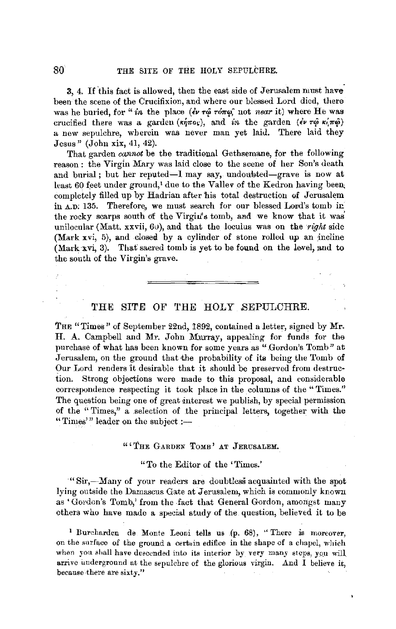**3, 4.** If this fact is allowed, then the east side of Jerusalem must have been the scene of the Crucifixion, and where our blessed Lord died, there was he buried, for "*in* the place  $\left(\epsilon v \tau \hat{\varphi} \tau \hat{\varphi} \tau \hat{\varphi} \tau \hat{\varphi} \hat{\varphi} \right]$  not *near* it) where He was crucified there was a garden  $(\kappa \eta \pi o \varsigma)$ , and *in* the garden  $(\epsilon \nu \tau \hat{\varphi} \kappa \eta \pi \hat{\varphi})$ a new sepulchre, wherein was never man yet laid. There laid they Jesus" (John xix, 41, 42).

That garden *cannot* be the traditional Gethsemane, for the following reason : the Virgin Mary was laid close to the scene of her Son's death and burial : but her reputed-I may say, undoubted-grave is now at least 60 feet under ground,<sup>1</sup> due to the Vallev of the Kedron having been; completely filled up by Hadrian after 'his total destruction of Jerusalem in  $A.D.$  135. Therefore, we must search for our blessed Lord's tomb in the rocky scarps south of the Virgin's tomb, and we know that it was unilocular (Matt. xxvii, 60), and that the loculus was on the *right* side (Mark xvi, 5), and closed by a cylinder of stone rolled up an incline (Mark  $xvi$ , 3). That sacred tomb is yet to be found on the level, and to the south of the Virgin's grave.

# THE SITE OF THE HOLY SEPULCHRE.

THE "Times" of September 22nd, 1892, contained a letter, signed by **Mr.**  H. A. Campbell and Mr. John Murray, appealing for funds for the purchase of what has been known for some years as "Gordon's Tomb" at Jerusalem, on the ground that the probability of its being the Tomb of Our Lord renders it desirable that it should be preserved from destruction. 8trong objections were made to this proposal, and considerable correspondence respecting it took place in the columns of the" Times.'' The question being one of great interest we publish, by special permission of the "Times," a selection of the principal letters, together with the "Times'" leader on the subject :-

## "'THE GARDEN TOMB' AT JERUSALEM.

## "To the Editor of the 'Times.'

'" Sir,-Many of your readers are doubtless acquainted with the spot lying outside the Damascus Gate at Jerusalem, which is commonly known as 'Gordon's Tomb,' from the ,fact that General Gordon, amongst many others who have made a special study of the question, believed it to be

<sup>1</sup> Burcharden de Monte Leoni tells us (p. 68), "There is moreover, on the surface of the ground a certain edifice in the shape of a chapel, which when you shall have descended into its interior by very many steps, you will arrive underground at the sepulchre of the glorious virgin. And I believe it, because there are sixty.''

¥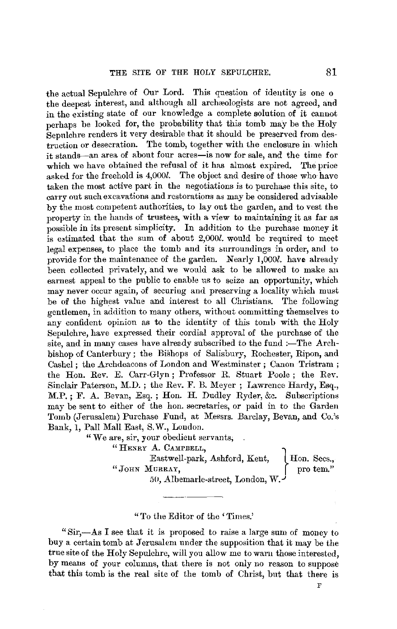the actual Sepulchre of Our Lord. This question of identity is one o the deepest interest, and although all archeologists are not agreed, and in the existing state of our knowledge a complete solution of it cannot perhaps be looked for, the probability that this tomb may be the Holy Sepulchre renders it very desirable that it should be preserved from destruction or desecration. The tomb, together with the enclosure in which it stands--an area of about four acres-is now for sale, and the time for which we have obtained the refusal of it has almost expired. The price asked for the freehold is *4,000l.* The object and desire of those who have taken the most active part in the negotiations is to purchase this site, to carry out such excavations and restorations as may be considered advisable by the most competent authorities, to lay out the garden, and to vest the property in the hands of trustees, with a view to maintaining it as far as possible in its present simplicity. In addition to the purchase money it is estimated that the sum of about 2,000l. would be required to meet legal expenses, to place the tomb and its surroundings in order, and to provide for the maintenance of the garden. Nearly *I,OOOl.* **have** already been collected privately, and we would ask to be allowed to make au earnest appeal to the public to enable us to seize an opportunity, which may never occur again, of securing and preserving a locality which must be of the highest value and interest to all Christians. The following gentlemen, in addition to many others, without committing themselves to any confident opinion as to the identity of this tomb with the Holy Sepulchre, have expressed their cordial approval of the purchase of the site, and in many cases have already subscribed to the fund :-The Archbishop of Canterbury; the Bishops of Salisbury, Rochester, Ripon, and Cashel ; the Archdeacons of London and Westminster ; Canon Tristram ; the Hon. Rev. E. Carr-Glyn ; Professor R. Stuart Poole ; the Rev. Sinclair Paterson, M.D. ; the Rev. F. B. Meyer ; Lawrence Hardy, Esq., M.P. ; F. A. Bevan, Esq. ; Hon. H. Dudley Ryder, &c. Subscriptions may be sent to either of the hon. secretaries, or paid in to the Garden Tomb (Jerusalem) Purchase Fund, at Messrs. Barclay, Bevan, and Co.'s Bank, I, Pall Mall East, S.W., London. all East, S.W., London.<br>
re, sir, your obedient servants,<br>
"HENRY A. CAMPBELL,<br>
Eastwell-park, Ashford, Kent, (Hon. Secs.,

"We are, sir, your obedient servants,<br>"HENRY A. CAMPBELL,

"JOHN MURRAY, pro tem." 50, Albemarle-street, London, W.

#### "To the Editor of the 'Times.'

"Sir,-As I see that it is proposed to raise a large sum of money to buy a certain tomb at Jerusalem under the supposition that it may be the true site of the Holy Sepulchre, will you allow me to warn those interested, by means of your columns, that there is not only no reason to suppose that this tomb is the real site of the tomb of Christ, but that there is

F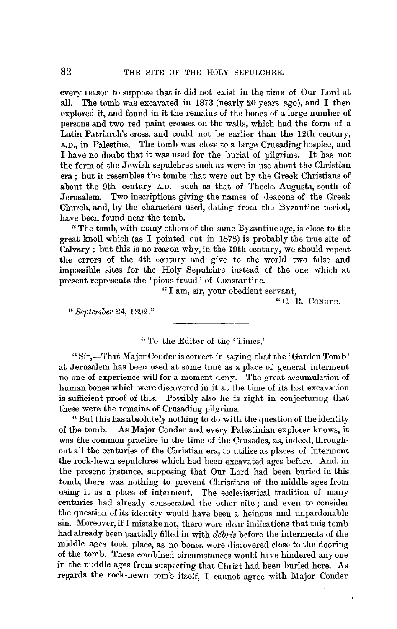every reason to suppose that it did not exist in the time of Our Lord at all. The tomb was excavated in 1873 (nearly 20 years ago), and I then explored it, and found in it the remains of the bones of a large number of persons and two red paint crosses on the walls, which had the form of a Latin Patriarch's cross, and could not be earlier than the 12th century, A.D., in Palestine. The tomb was close to a large Crusading hospice, and I have no doubt that it was used for the burial of pilgrims. It has not the form of the Jewish sepulchres such as were in use about the Christian era; but it resembles the tombs that were cut by the Greek Christians of about the 9th century A.D.-such as that of Thecla Augusta, south of Jerusalem. Two inscriptions giving the names of deacons of the Greek Church, and, by the characters used, dating from the Byzantine period, have been found near the tomb.

"The tomb, with many others of the same Byzantine age, is close to the great knoll which (as I pointed out in 1878) is probably the true site of Calvary; but this is no reason why, in the 19th century, we should repeat the errors of the 4th century and give to the world two false and impossible sites for the Holy Sepulchre instead of the one which at present represents the 'pious fraud ' of Constantine.

"I am, sir, your obedient servant,

" C. R. CONDER.

ï

*"September* 24, 1892."

# " To the Editor of the 'Times.'

"Sir,-That Major Conder is correct in saying that the 'Garden Tomb' at Jerusalem has been used at some time as a place of general interment no one of experience will for a moment deny. The great accumulation of human bones which were discovered in it at the time of its last excavation is sufficient proof of this. Possibly also he is right in conjecturing that these were the remains of Crusading pilgrims.

"But this has absolutely nothing to do with the question of the identity of the tomb. .As Major Conder and every Palestinian explorer knows, it was the common practice in the time of the Crusades, as, indeed, throughout all the centuries of the Christian era, to utilise as places of interment the rock-hewn sepulchres which had been excavated ages before. And, in the present instance, supposing that Our Lord had been buried in this tomb, there was nothing to prevent Christians of the middle ages from using it as a place of interment. The ecclesiastical tradition of many centuries had already consecrated the other site ; and even to conside1 the question of its identity would have been a heinous and unpardonable sin. Moreover, if I mistake not, there were clear indications that this tomb had already been partially filled **in** with *debris* before the interments of the middle ages took place, as no bones were discovered close to the flooring of the tomb. These combined circumstances would have hindered any one in the middle ages from suspecting that Christ had been buried here. As regards the rock-hewn tomb itself, I cannot agree with Major Conder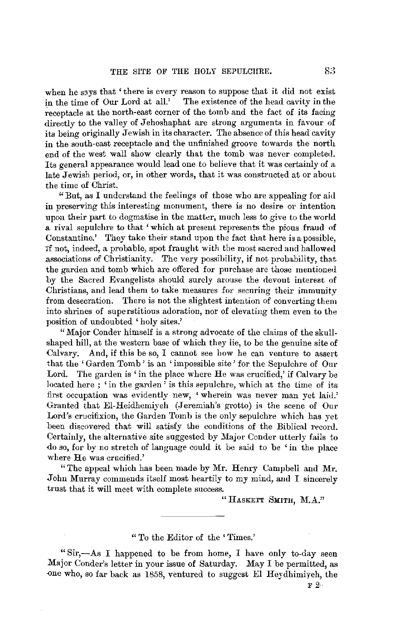when he says that 'there is every reason to suppose that it did not exist<br>in the time of Our Lord at all.' The existence of the head cavity in the The existence of the head cavity in the receptacle at the north-east corner of the tomb and the fact of its facing directly to the valley of Jehoshaphat are strong arguments in favour of its being originally Jewish in its character. The absence of this head cavity in the south-east receptacle and the unfinished groove towards the north end of the west wall show clearly that the tomb was never completed. Its general appearance would lead one to believe that it was certainly of a late Jewish period, or, in other words, that it was constructed at or about the time of Christ.

"But, as I understand the feelings of those who are appealing for aid in preserving this interesting monument, there is no desire or intention upon their part to dogmatise in the matter, much less to give to the world a rival sepulchre to that 'which at present represents the pious fraud of Constantine.' They take their stand upon the fact that here is a possible, If not, indeed, a probable, spot fraught with the most sacred and hallowed .associations of Christianity. The very possibility, if not probability, that the garden and tomb which are offered for purchase are those mentioned by the Sacred Evangelists should surely arouse the devout interest of Christians, and lead them to take measures for securing their immunity from desecration. There is not the slightest intention of converting them into shrines of superstitious adoration, nor of elevating them even to the position of undoubted ' holy sites.'

"Major Conder himself is a strong advocate of the claims of the skullshaped hill, at the western base of which they lie, to be the genuine site of Calvary. And, if this be so, I cannot see how he can venture to assert that the 'Garden Tomb' is an 'impossible site' for the Sepulchre of Our Lord. The garden is 'in the place where He was crucified,' if Calvary be located here; 'in the garden' is this sepulchre, which at the time of its first occupation was evidently new, ' wherein was never man yet laid.' Granted that El-Heidhemiyeh (Jeremiah's grotto) is the scene of Our Lord's crucifixion, the Garden Tomb is the only sepulchre which has yet been discovered that will satisfy the conditions of the Biblical record. Certainly, the alternative site suggested by Major Conder utterly fails to do so, for by no stretch of language could it be said to be ' in the place where He was crucified.'

"The appeal which has been made by Mr. Henry Campbeli and Mr. John Murray commends itself most heartily to my mind, and I sincerely trust that it will meet with complete success.

" HASKETT SMITH, M.A."

## "To the Editor of the 'Times.'

"Sir,-As I happened to be from home, I have only to-day seen Major Conder's letter in your issue of Saturday. May I be permitted, as -one who, so far back as 1858, ventured to suggest El He\_ydhimiyeh, the

F 2-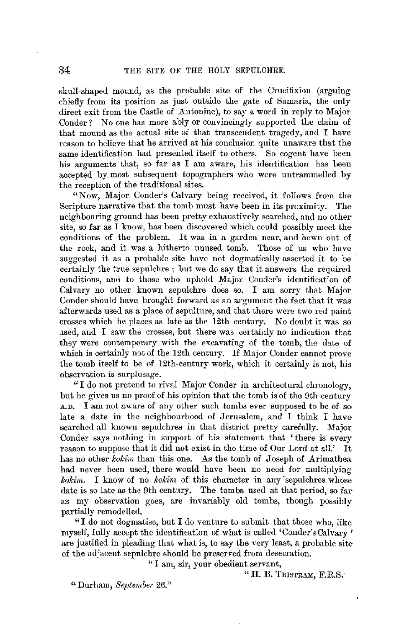skull-shaped mound, as the probable site of the Crucifixion (arguing chiefly from its position as just outside the gate of Samaria, the only direct exit from the Castle of Antonine), to say a word in reply to Major Conder? No one has more ably or convincingly supported the claim of that mound as the actual site of that transcendent tragedy, and I have reason to believe that he arrived at his conclusion quite unaware that the same identification had presented itself to others. So cogent have been his arguments that, so far as I am aware, his identification has been accepted by most subsequent topographers who were untrammelled by the reception of the traditional sites.

"Now, Major Conder's Calvary being received, it follows from the Scripture narrative that the tomb must have been in its proximity. The neighbouring ground has been pretty exhaustively searched, and no other site, so far as I know, has been discovered which could possibly meet the conditions of the problem. It was in a garden near, and hewn out of the rock, and it was a hitherto unused tomb. Those of us who have suggested it as a probable site have not dogmatically asserted it to be certainly the true sepulchre ; but we do say that it answers the required conditions, and to those who uphold Major Conder's identification of Calvary no other known sepulchre does so. I am sorry that Major Conder should have brought forward as an argument the fact that it was afterwards used as a place of sepulture, and that there were two red paint crosses which he places as late as the 12th century. No doubt it was so used, and I saw the crosses, but there was certainly no indication that they were contemporary with the excavating of the tomb, the date of which is certainly not of the 12th century. If Major Conder cannot prove the tomb itself to be of 12th-century work, which it certainly is not, his observation is surplusage.

"I do not pretend to rival Major Conder in architectural chronology, but he gives us no proof of his opinion that the tomb is of the 9th century A.D. I am not aware of any other such tombs ever supposed to be of so late a date in the neighbourhood of Jerusalem, and I think I have searched all known sepulchres in that district pretty carefully. Major Conder says nothing in support of his statement that 'there is every reason to suppose that it did not exist in the time of Our Lord at all.' It has no other *kokim* than this one. As the tomb of Joseph of Arimathea had never been used, there would have been no need for multiplying *kokim.* I know of no *kokim* of this character in any sepulchres whose date is so late as the 9th century. The tombs used at that period, so  $far$ as my observation goes, are invariably old tombs, though possibly partially remodelled.

"I do not dogmatise, but I do venture to submit that those who, like myself, fully accept the identification of what is called 'Conder's Calvary ' are justified in pleading that what is, to say the very least, a probable site of the adjacent sepulchre should be preserved from desecration.

" I am, sir, your obedient servant,

" H. B. TRISTRAM, F.RS.

¥

"Durham, *September* 26."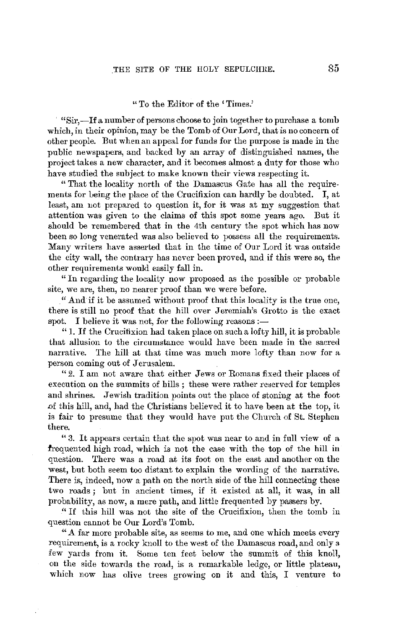#### "To the Editor of the 'Times.'

"Sir,—If a number of persons choose to join together to purchase a tomb which, in their opinion, may be the Tomb of Our Lord, that is no concern of other people. But when an appeal for funds for the purpose is made in the public newspapers, and backed by an array of distinguished names, the project takes a new character, and it becomes almost a duty for those who have studied the subject to make known their views respecting it.

" That the locality north of the Damascus Gate has all the requirements for being the place of the Crucifixion can hardly be doubted. I, at least, am not prepared to question it, for it was at my suggestion that attention was given to the claims of this spot some years ago. But it should be remembered that in the 4th century the spot which has now been so long venerated was also believed to possess all the requirements. Many writers have asserted that in the time of Our Lord it was outside the city wall, the contrary has never been proved, and if this were so, the other requirements would easily fall in.

"In regarding the locality now proposed as the possible or probable site, we are, then, no nearer proof than we were before.

. "And if it be assumed without proof that this locality is the true one, there is still no proof that the hill over Jeremiah's Grotto is the exact spot. I believe it was not, for the following reasons :-

" 1. If the Crucifixion had taken place on such a lofty hill, it is probable that allusion to the circumstance would have been made in the sacred narrative. The hill at that time was much more lofty than now for a person coming out of Jerusalem.

" 2. I am not aware that either Jews or Romans fixed their places of execution on the summits of hills ; these were rather reserved for temples and shrines. Jewish tradition points out the place of stoning at the foot .of this hill, and, had the Christians believed it to have been at the top, it is fair to presume that they would have put the Church of St. Stephen there.

"3. It appears certain that the spot was near to and in full view of a frequented high road, which is not the case with the top of the hill in question. There was a road at its foot on the east and another on the west, but both seem too distant to explain the wording of the narrative. There is, indeed, now a path on the north side of the hill connecting these two roads ; but in ancient times, if it existed at all, it was, in all probability, as now, a mere path, and little frequented by passers by.

" If this hill was not the site of the Crucifixion, then the tomb in question cannot be Our Lord's Tomb.

"A far more probable site, as seems to me, and one which meets every requirement, is a rocky knoll to the west of the Damascus road, and only a few yards from it. Some ten feet below the summit of this knoll, on the side towards the road, is a remarkable ledge, or little plateau, which now has olive trees growing on it and this, I venture to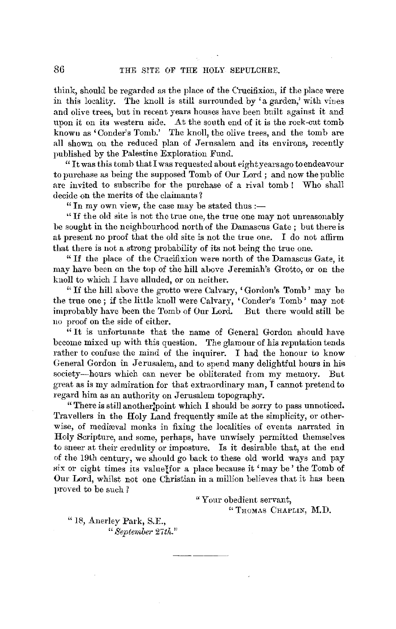think, should be regarded as the place of the Crucifixion, if the place were in this locality. The knoll is still surrounded by 'a garden,' with vines and olive trees, but in recent years houses have been built against it and upon it on its western side. At the south end of it is the rock-cut tomb knowu as 'Conder's *Tomb.'* The knoll, the olive trees, and the tomb are all shown on the reduced plan of Jerusalem and its environs, recently published by the Palestine Exploration Fund.

" It was this tomh that I was requested about eight years ago to endeavour to purchase as being the supposed Tomb of Our Lord ; and now the public are invited to subscribe for the purchase of a rival tomb ! Who shall decide on the merits of the claimants?

"In my own view, the case may be stated thus :-

"If the old site is not the true one, the true one may not unreasonably be sought in the neighbourhood north of the Damascus Gate ; but there is at present no proof that the old site is not the true one. I do not affirm that there is not a strong probability of its not being the true one.

"If the place of the Crucifixion were north of the Damascus Gate, it may have been on the top of the hill above Jeremiah's Grotto, or on the knoll to which I have alluded, or on neither.

"If the hill above the grotto were Calvary,' Gordon's Tomb' may be the true one; if the little knoll were Calvary, 'Conder's Tomb' may not improbably have been the Tomb of Our Lord. But there would still be no proof on the side of either.

"It is unfortunate that the name of General Gordon should have become mixed up with this question. The glamour of his reputation tends rather to confuse the mind of the inquirer. I had the honour to know General Gordon in Jerusalem, and to spend many delightful hours in his society--hours which can never be obliterated from my memory. But great as is my admiration for that extraordinary man, T cannot pretend to regard him as an authority on Jerusalem topography.

"There is still another' point which I should be sorry to pass unnoticed. Travellers in the Holy Land frequently smile at the simplicity, or otherwise, of mediaval monks in fixing the localities of events narrated in Holy Scripture, and some, perhaps, have unwisely permitted themselves to sneer at their credulity or imposture. Is it desirable that, at the end of the 19th century, we should go back to these old world ways and pay six or eight times its value<sup>7</sup> for a place because it 'may be' the Tomb of Our Lord, whilst not one Christian in a million believes that it has been proved to be such ?

"Your obedient servant,

"THOMAS CHAPLIN, M.D.

" 18, Auerley Park, S.E., *"September 27tli.''*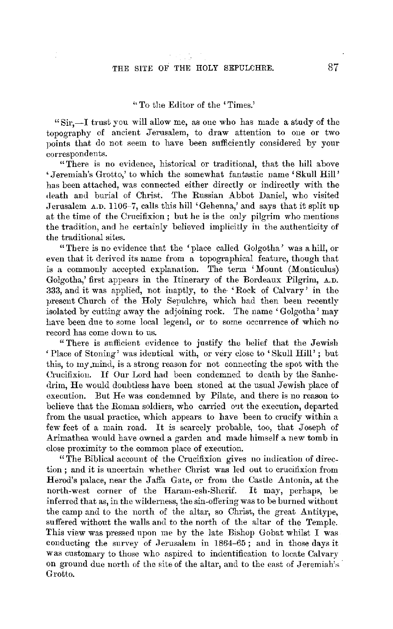# THE SITE OF THE HOLY SEPULCHRE. 87

## '' To the Editor of the 'Times.'

"Sir,-I trust you will allow me, as one who has made a study of the topography of ancient Jerusalem, to draw attention to one or two points that do not seem to have been sufficiently considered by your correspondents.

"There is no evidence, historical or traditional, that the hill above '.J eremiah's Grotto,' to which the somewhat fantastic name 'Skull Hill' has been attached, was connected either directly or indirectly with the death aml burial of Christ. The Russian Abbot Daniel, who visited Jerusalem A.D. 1106~7, calls this hill 'Gehenna,' and says that it split up at the time of the Crucifixion; but he is the only pilgrim who mentions the tradition, and he certainly believed implicitly in the authenticity of the traditional sites.

"There is no evidence that the 'place called Golgotha' was a hill, or even that it derived its name from a topographical feature, though that is a commonly accepted explanation. The term 'Mount (Monticulus) Golgotha,' first appears in the Itinerary of the Bordeaux Pilgrim, A.D. 333, and it was applied, not inaptly, to the 'Rock of Calvary' in the present Church of the Holy Sepulchre, which had then been recently isolated by cutting away the adjoining rock. The name 'Golgotha' may have been due to some local legend, or to some occurrence of which no record has come down to us.

"There is sufficient evidence to justify the belief that the Jewish ' Place of Stoning' was ideutical with, or very close to 'Skull Hill' ; but this, to my mind, is a strong reason for not connecting the spot with the Crucifixion. If Our Lord had been condemned to death by the Sanhedrim, He would doubtless have been stoned at the usual Jewish place of execution. But He was condemned by Pilate, and there is no reason to believe that the Roman soldiers, who carried out the execution, departed from the usual practice, which appears to have been to crucify within a few feet of a main road. It is scarcely probable, too, that Joseph of Arimathea would have owned a garden and made himself a new tomb in close proximity to the common place of execution.

"The Biblical account of the Crucifixion gives no indication of direction ; and it is uncertain whether Christ was led out to crucifixion from Herod's palace, near the Jaffa Gate, or from the Castle Antonia, at the north-west corner of the Haram-esh-Sherif. It may, perhaps, be inferred that as, in the wilderness, the sin-offering was to be burned without the camp and to the north of the altar, so Christ, the great Antitype, suffered without the walls and to the north of the altar of the Temple. This view was pressed upon me by the late Bishop Gobat whilst I was conducting the survey of Jerusalem in 1864-65; and in those days it was customary to those who aspired to indentification to locate Calvary on ground due north of the site of the altar, and to the east of Jeremiah's Grotto.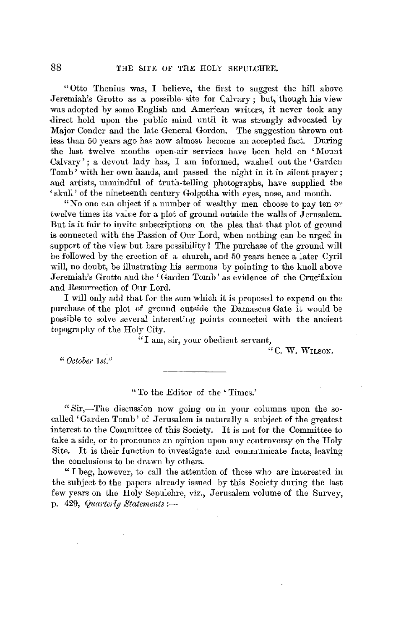"Otto Thenius was, I believe, the first to suggest the hill above Jeremiah's Grotto as a possible site for Calvary; but, though his view was adopted by some English and American writers, it never took any direct hold upon the public mind until it was strongly advocated by Major Conder and the late General Gordon. The suggestion thrown out less than 50 years ago has now almost become an accepted fact. During the last twelve months open-air services have been held on 'Mount Calvary' ; a devout lady has, I am informed, washed out the 'Gardeu Tomb' with her own hands, and passed the night in it in silent prayer; and artists, unmindful of truth-telling photographs, have supplied the 'skull' of the nineteenth century Golgotha with eyes, nose, and mouth.

"No one can object if a number of wealthy men choose to pay ten or twelve times its value for a plot of ground outside the walls of Jerusalem. But is it fair to invite subscriptions on the plea that that plot of ground is connected with the Passion of Our Lord, when nothing can be urged in support of the view but bare possibility? The purchase of the ground will be followed by the erection of a church, and 50 years hence a later Cyril will, no doubt, be illustrating his sermons by pointing to the knoll above Jeremiah's Grotto and the 'Garden Tomb' as evidence of the Crucifixion .and Resurrection of Our Lord.

I will only add that for the sum which it is proposed to expend on the purchase of the plot of ground outside the Damascus Gate it would be possible to solve several interesting points connected with the ancient topography of the Holy City.

"I am, sir, your obedient servant,

 $^{\alpha}$  C. W. WILSON.

" *October 1st."* 

# "To the Editor of the 'Times.'

"Sir,-The discussion now going on in your columns upon the socalled 'Garden Tomb' of Jerusalem is naturally a subject of the greatest interest to the Committee of this Society. It is not for the Committee to take a side, or to pronounce an opinion upon any controversy on the Holy Site. It is their function to investigate and communicate facts, leaving the conclusions to be drawn by others.

"I beg, however, to call the attention of those who are interested in the subject to the papers already issued by this Society during the last few years on the Holy Sepulchre, viz., Jerusalem volume of the Survey, p. 429, *Quarterly Statements* :-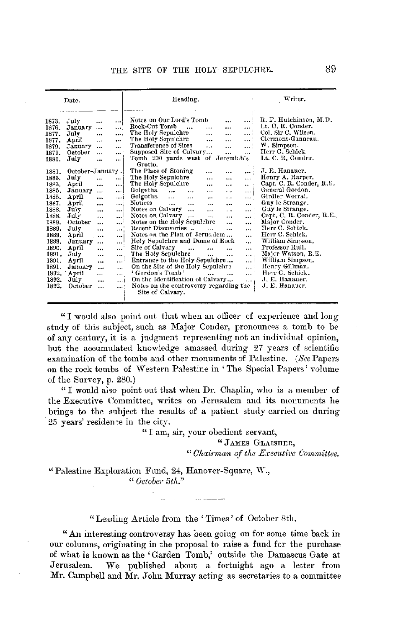| Date.                                                                                                    |                                                                                                                       |                                                                                                    |                                                                                            | Heading.                                                                                                                                                                                                                                                                                                                                                                                                                                                                                                                                                                                                                                                                                                                                                                         | Writer.                                                                                                                                                                                                                                           |
|----------------------------------------------------------------------------------------------------------|-----------------------------------------------------------------------------------------------------------------------|----------------------------------------------------------------------------------------------------|--------------------------------------------------------------------------------------------|----------------------------------------------------------------------------------------------------------------------------------------------------------------------------------------------------------------------------------------------------------------------------------------------------------------------------------------------------------------------------------------------------------------------------------------------------------------------------------------------------------------------------------------------------------------------------------------------------------------------------------------------------------------------------------------------------------------------------------------------------------------------------------|---------------------------------------------------------------------------------------------------------------------------------------------------------------------------------------------------------------------------------------------------|
| 1873.<br>1876.                                                                                           | July<br>January                                                                                                       | $\ddotsc$<br>$\cdots$                                                                              | $\cdots$<br>$\cdots$                                                                       | Notes on Our Lord's Tomb<br>!<br><br>Rock-Cut Tomb<br>$\ddotsc$<br><br>$\cdots$                                                                                                                                                                                                                                                                                                                                                                                                                                                                                                                                                                                                                                                                                                  | R. F. Hutchinson, M.D.<br>Lt. C, R. Conder.                                                                                                                                                                                                       |
| 1877.<br>1877.<br>1879.                                                                                  | July<br>April<br>January                                                                                              | $\cdots$<br>.<br>$\cdots$                                                                          | <br>$\cdots$<br>                                                                           | The Holy Sepulchre<br>$\ddotsc$<br>$\ddotsc$<br>$\cdots$<br>The Holy Sepulchre<br>$\ddotsc$<br>$\cdots$<br>$\cdots$<br>Transference of Sites<br>$\cdots$<br>$\cdots$<br>$\cdots$                                                                                                                                                                                                                                                                                                                                                                                                                                                                                                                                                                                                 | Col. Sir C. Wilson.<br>Clermont-Ganneau.<br>W. Simpson.                                                                                                                                                                                           |
| 1879.<br>1881.                                                                                           | Oetober<br>July                                                                                                       | $\cdots$<br>$\overline{\phantom{a}}$                                                               | $\cdots$<br>                                                                               | Supposed Site of Calvary<br>$\cdots$<br>$\cdots$<br>Tomb 200 yards west of Jeremiah's                                                                                                                                                                                                                                                                                                                                                                                                                                                                                                                                                                                                                                                                                            | Herr C. Schick.<br>Lt. C. R. Conder.                                                                                                                                                                                                              |
| 1881.<br>1883.<br>1883.<br>1885.<br>1885.<br>1887.<br>1888.<br>1888.<br>1889.<br>1889.<br>1889.<br>1889. | October-January.<br>July<br>April<br>January<br>April<br>April<br>July<br>July<br>October<br>July<br>April<br>January | $\ddotsc$<br>$\cdots$<br>$\cdots$<br>$\cdots$<br><br>$\cdots$<br>$\ddotsc$<br><br><br>$\cdots$<br> | $\cdots$<br>$\cdots$<br><br>ا • • •<br>$\cdots$<br>$\ddotsc$<br><br><br><br>$\ddotsc$<br>! | Grotto.<br>The Place of Stoning<br>.<br>$\cdots$<br>$\cdots$<br>The Holy Sepulchre<br>$\cdots$<br>$\ddotsc$<br>$\cdots$<br>The Holy Sepulchre<br>$\cdots$<br>$\cdots$<br>$\ddot{\phantom{a}}$<br>Golgetha<br>$\sim$ 1000 $\pm$<br>$\cdots$<br>$\cdots$<br>$\cdots$<br>$\cdots$<br>Golgotha<br>$\cdots$<br>$\ddotsc$<br>$\cdots$<br>$\cdots$<br><br>Notices<br>and the<br>$\cdots$<br>$\cdots$<br>$\cdots$<br>$\cdots$<br>Notes on Calvary<br>$\ddotsc$<br>$\cdots$<br>$\sim$<br>ا مده<br>Notes on Calvary<br>$\dddotsc$<br>$\cdots$<br>$\cdots$<br>$\cdots$<br>Notes on the Holy Sepulchre<br>$\ddot{\phantom{a}}$<br><br>Recent Discoveries<br>$\cdots$<br>$\ddotsc$<br>$\ddotsc$<br>Notes on the Plan of Jerusalem<br>$\cdots$<br>Holy Sepulchre and Dome of Rock<br>$\ddotsc$ | J. E. Hanauer.<br>Henry A. Harper.<br>Capt. C. R. Conder, R.E.<br>General Gordon.<br>Girdler Worral.<br>Guy le Strange.<br>Guy le Strange.<br>Capt. C. B. Conder, R.E.<br>Major Conder.<br>Herr C. Schick.<br>Herr C. Schick.<br>William Simpson. |
| 1890.<br>1891.<br>1891.<br>1891.<br>1892.<br>1892.<br>1892.                                              | April<br>July<br>April<br>January<br>April<br>July<br>October                                                         | <br>$\cdots$<br><br><br>$\cdots$<br>$\cdots$<br>                                                   | $\ddotsc$<br>$\cdots$<br>أنبيه<br>$\ddotsc$<br>$\cdots$<br>$$ 1                            | Site of Calvary<br>$\ddotsc$<br>$\ddot{\phantom{a}}$<br>$\ddot{\phantom{a}}$<br>$\cdots$<br>The Holy Sepulchre<br>$\ddotsc$<br>$\cdots$<br>$\cdots$<br>Entrance to the Holy Sepulchre<br>الممد<br>On the Site of the Holy Sepulchre<br><br>' Gordon's Tomb '<br>$\ddotsc$<br>$\ddotsc$<br>On the Identification of Calvary<br>$\cdots$<br>Notes on the controversy regarding the                                                                                                                                                                                                                                                                                                                                                                                                 | Professor Hull.<br>Major Watson, R.E.<br>William Simpson.<br>Henry Gillman.<br>Herr C. Schick.<br>J. E. Hanauer.<br>J. E. Hanauer.                                                                                                                |

"I would also poiut out that when an officer of experience and long study of this subject, such as Major Conder, pronounces a tomb to be of any century, it is a jndgment representing not an individual opinion, but the accumulated knowledge amassed during 27 years of scientific examination of the tombs and other monuments of Palestine. *(See* Papers on the rock tombs of Western Palestine in 'The Special Papers' volume of the Survey, p. 280.)

" I would also point out that when Dr. Chaplin, who is a member of the Executive Committee, writes on Jerusalem and its monuments he brings to the subject the results of a patient study carried on during 25 years' residence in the city.

"I am, sir, your obedient servant,

",JAMES GLAISHER,

*"C!tairman of tlw E:cecutfre C:oinmittee.* 

"Palestine Exploration Fund, 24, Hanover-Square,  $\rm W.,$ " *Octobei· 5th."* 

## "Leading Article from the 'Times' of October 8th.

**".A.n** interesting controversy has been going on for some time back in our columns, originating **in** the proposal to raise a fund for the purchase of what is known as the 'Garden Tomb,' outside the Damascus Gate at Jernsalem. We published about a fortnight ago a letter from Mr. Campbell and Mr. John Murray acting as secretaries to a committee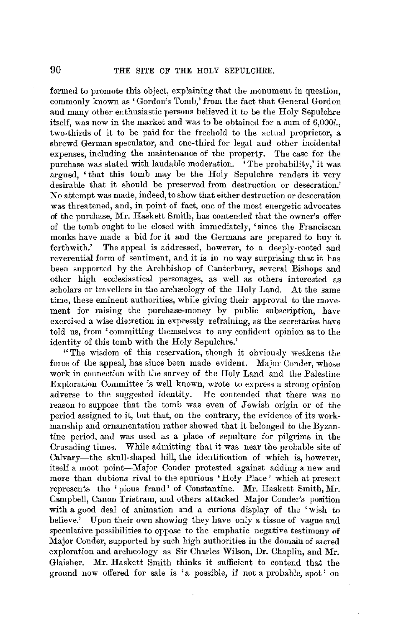formed to promote this object, explaining that the monument in question, commonly known as 'Gordon's Tomb,' from the fact that General Gordon and many other enthusiastic persons believed it to be the Holy Sepulchre itself, was now in the market and was to be obtained for a sum of 6,000. two-thirds of it to be paid for the freehold to the actual proprietor, a shrewd German speculator, and one-third for legal and other incidental expenses, including the maintenance of the property. The case for the purchase was stated with laudable moderation. 'The probability,' it was argued, 'that this tomb may be the Holy Sepulchre renders it very desirable that it should be preserved from destruction or desecration.' No attempt was made, indeed, to show that either destruction or desecration was threatened, and, in point of fact, one of the most energetic advocates of the purchase, **Mr.** Haskett Smith, has contended that the owner's offer of the tomb ought to be closed with immediately, 'since the Franciscan monks have made a bid for it and the Germans are prepared to buy it forthwith.' The appeal is addressed, however, to a deeply-rooted and The appeal is addressed, however, to a deeply-rooted and reverential form of sentiment, and it is in no way surprising that it has been supported by the Archbishop of Canterbury, several Bishops and other high ecclesiastical personages, as well as others interested as scholars or travellers in the archaeology of the Holy Land. At the same time, these eminent authorities, while giving their approval to the movement for raising the purchase-money by public subscription, have exercised a wise discretion in expressly refraining, as the secretaries have told us, from 'committing themselves to any confident opinion as to the identity of this tomb with the Holy Sepulchre.'

"The wisdom of this reservation, though it obviously weakens the force of the appeal, has since been made evident. Major Conder, whose work in connection with the survey of the Holy Land and the Palestine Exploration Committee is well known, wrote to express a strong opinion adverse to the suggested identity. He contended that there was no reason to suppose that the tomb was even of Jewish origin or of the period assigned to it, but that, on the contrary, the evidence of its workmanship and ornamentation rather showed that it belonged to the Byzantine period, and was used as a place of sepulture for pilgrims in the Crusading times. While admitting that it was near the probable site of Calvary~the skull-shaped **hill,** the identification of which is, however, itself a moot point-Major Conder protested against adding a new and more than dubious rival to the spurious 'Holy Place' which at present represents the 'pious fraud' of Constantine. **Mr.** Haskett Smith, Mr. Campbell, Canon Tristram, and others attacked Major Conder's position with a good deal of animation and a curious display of the 'wish to believe.' Upon their own showing they have only a tissue of vague and speculative possibilities to oppose to the emphatic negative testimony of Major Conder, supported by such high authorities **in** the domain of sacred exploration and arclueology as Sir Charles Wilson, **Dr.** Chaplin, and Mr. Glaisher. Mr. Haskett Smith thinks it sufficient to contend that the ground now offered for sale is 'a possible, if not a probable, spot' on